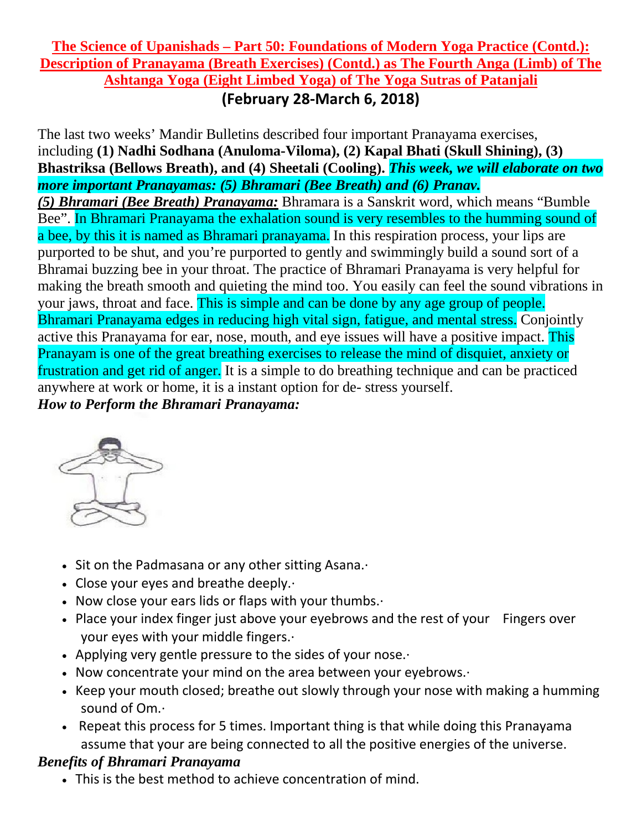### **The Science of Upanishads – Part 50: Foundations of Modern Yoga Practice (Contd.): Description of Pranayama (Breath Exercises) (Contd.) as The Fourth Anga (Limb) of The Ashtanga Yoga (Eight Limbed Yoga) of The Yoga Sutras of Patanjali (February 28-March 6, 2018)**

The last two weeks' Mandir Bulletins described four important Pranayama exercises, including **(1) Nadhi Sodhana (Anuloma-Viloma), (2) Kapal Bhati (Skull Shining), (3) Bhastriksa (Bellows Breath), and (4) Sheetali (Cooling).** *This week, we will elaborate on two more important Pranayamas: (5) Bhramari (Bee Breath) and (6) Pranav. (5) Bhramari (Bee Breath) Pranayama:* Bhramara is a Sanskrit word, which means "Bumble Bee". In Bhramari Pranayama the exhalation sound is very resembles to the humming sound of a bee, by this it is named as Bhramari pranayama. In this respiration process, your lips are purported to be shut, and you're purported to gently and swimmingly build a sound sort of a Bhramai buzzing bee in your throat. The practice of Bhramari Pranayama is very helpful for making the breath smooth and quieting the mind too. You easily can feel the sound vibrations in your jaws, throat and face. This is simple and can be done by any age group of people. Bhramari Pranayama edges in reducing high vital sign, fatigue, and mental stress. Conjointly active this Pranayama for ear, nose, mouth, and eye issues will have a positive impact. This Pranayam is one of the great breathing exercises to release the mind of disquiet, anxiety or frustration and get rid of anger. It is a simple to do breathing technique and can be practiced anywhere at work or home, it is a instant option for de- stress yourself.

*How to Perform the Bhramari Pranayama:*



- Sit on the Padmasana or any other sitting Asana.·
- Close your eyes and breathe deeply.·
- Now close your ears lids or flaps with your thumbs.·
- Place your index finger just above your eyebrows and the rest of your Fingers over your eyes with your middle fingers.·
- Applying very gentle pressure to the sides of your nose.·
- Now concentrate your mind on the area between your eyebrows.·
- Keep your mouth closed; breathe out slowly through your nose with making a humming sound of Om.·
- Repeat this process for 5 times. Important thing is that while doing this Pranayama assume that your are being connected to all the positive energies of the universe.

# *Benefits of Bhramari Pranayama*

• This is the best method to achieve concentration of mind.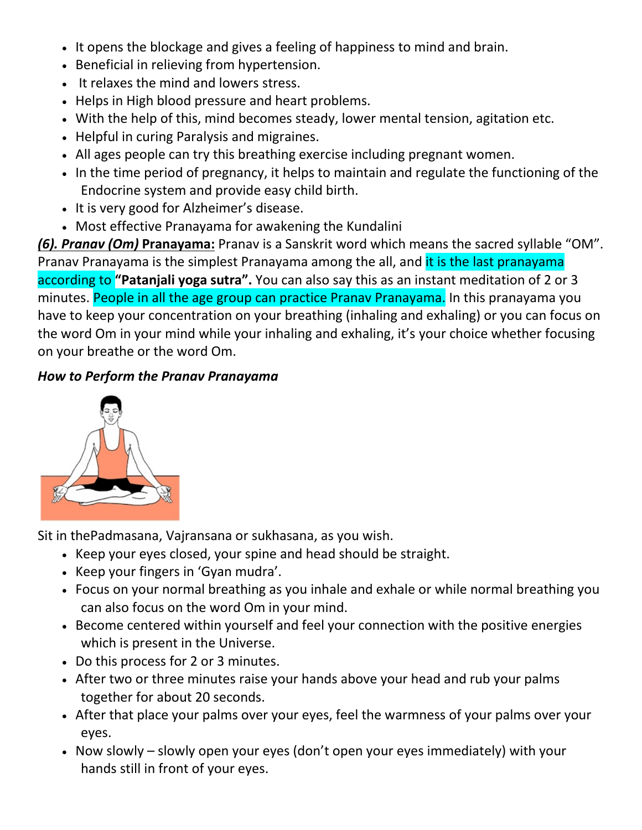- It opens the blockage and gives a feeling of happiness to mind and brain.
- Beneficial in relieving from hypertension.
- It relaxes the mind and lowers stress.
- Helps in High blood pressure and heart problems.
- With the help of this, mind becomes steady, lower mental tension, agitation etc.
- Helpful in curing Paralysis and migraines.
- All ages people can try this breathing exercise including pregnant women.
- In the time period of pregnancy, it helps to maintain and regulate the functioning of the Endocrine system and provide easy child birth.
- It is very good for Alzheimer's disease.
- Most effective Pranayama for awakening the Kundalini

*(6). Pranav (Om)* **Pranayama:** Pranav is a Sanskrit word which means the sacred syllable "OM". Pranav Pranayama is the simplest Pranayama among the all, and it is the last pranayama according to **"Patanjali yoga sutra".** You can also say this as an instant meditation of 2 or 3 minutes. People in all the age group can practice Pranay Pranayama. In this pranayama you have to keep your concentration on your breathing (inhaling and exhaling) or you can focus on the word Om in your mind while your inhaling and exhaling, it's your choice whether focusing on your breathe or the word Om.

### *How to Perform the Pranav Pranayama*



Sit in thePadmasana, Vajransana or sukhasana, as you wish.

- Keep your eyes closed, your spine and head should be straight.
- Keep your fingers in 'Gyan mudra'.
- Focus on your normal breathing as you inhale and exhale or while normal breathing you can also focus on the word Om in your mind.
- Become centered within yourself and feel your connection with the positive energies which is present in the Universe.
- Do this process for 2 or 3 minutes.
- After two or three minutes raise your hands above your head and rub your palms together for about 20 seconds.
- After that place your palms over your eyes, feel the warmness of your palms over your eyes.
- Now slowly slowly open your eyes (don't open your eyes immediately) with your hands still in front of your eyes.